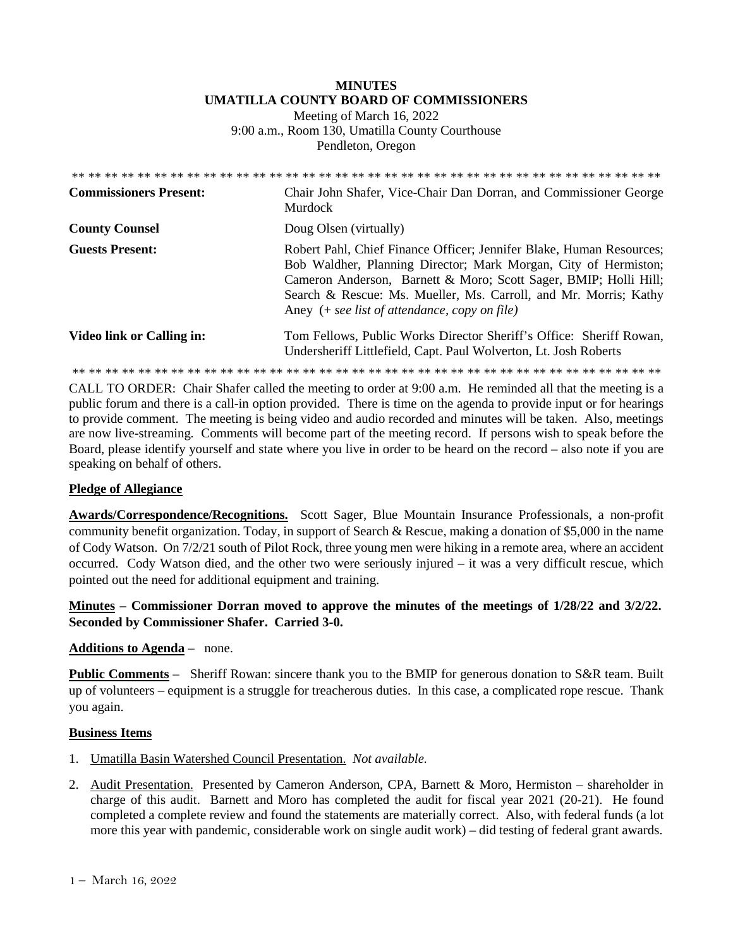# **MINUTES UMATILLA COUNTY BOARD OF COMMISSIONERS**

Meeting of March 16, 2022 9:00 a.m., Room 130, Umatilla County Courthouse Pendleton, Oregon

| <b>Commissioners Present:</b> | Chair John Shafer, Vice-Chair Dan Dorran, and Commissioner George<br>Murdock                                                                                                                                                                                                                                                       |
|-------------------------------|------------------------------------------------------------------------------------------------------------------------------------------------------------------------------------------------------------------------------------------------------------------------------------------------------------------------------------|
| <b>County Counsel</b>         | Doug Olsen (virtually)                                                                                                                                                                                                                                                                                                             |
| <b>Guests Present:</b>        | Robert Pahl, Chief Finance Officer; Jennifer Blake, Human Resources;<br>Bob Waldher, Planning Director; Mark Morgan, City of Hermiston;<br>Cameron Anderson, Barnett & Moro; Scott Sager, BMIP; Holli Hill;<br>Search & Rescue: Ms. Mueller, Ms. Carroll, and Mr. Morris; Kathy<br>Aney $(+ see list of attendance, copy on file)$ |
| Video link or Calling in:     | Tom Fellows, Public Works Director Sheriff's Office: Sheriff Rowan,<br>Undersheriff Littlefield, Capt. Paul Wolverton, Lt. Josh Roberts                                                                                                                                                                                            |

\*\* \*\* \*\* \*\* \*\* \*\* \*\* \*\* \*\* \*\* \*\* \*\* \*\* \*\* \*\* \*\* \*\* \*\* \*\* \*\* \*\* \*\* \*\* \*\* \*\* \*\* \*\* \*\* \*\* \*\* \*\* \*\* \*\* \*\* \*\* \*\*

CALL TO ORDER: Chair Shafer called the meeting to order at 9:00 a.m. He reminded all that the meeting is a public forum and there is a call-in option provided. There is time on the agenda to provide input or for hearings to provide comment. The meeting is being video and audio recorded and minutes will be taken. Also, meetings are now live-streaming*.* Comments will become part of the meeting record. If persons wish to speak before the Board, please identify yourself and state where you live in order to be heard on the record – also note if you are speaking on behalf of others.

#### **Pledge of Allegiance**

**Awards/Correspondence/Recognitions.** Scott Sager, Blue Mountain Insurance Professionals, a non-profit community benefit organization. Today, in support of Search & Rescue, making a donation of \$5,000 in the name of Cody Watson. On 7/2/21 south of Pilot Rock, three young men were hiking in a remote area, where an accident occurred. Cody Watson died, and the other two were seriously injured – it was a very difficult rescue, which pointed out the need for additional equipment and training.

# **Minutes – Commissioner Dorran moved to approve the minutes of the meetings of 1/28/22 and 3/2/22. Seconded by Commissioner Shafer. Carried 3-0.**

#### **Additions to Agenda** – none.

**Public Comments** – Sheriff Rowan: sincere thank you to the BMIP for generous donation to S&R team. Built up of volunteers – equipment is a struggle for treacherous duties. In this case, a complicated rope rescue. Thank you again.

#### **Business Items**

- 1. Umatilla Basin Watershed Council Presentation. *Not available.*
- 2. Audit Presentation. Presented by Cameron Anderson, CPA, Barnett & Moro, Hermiston shareholder in charge of this audit. Barnett and Moro has completed the audit for fiscal year 2021 (20-21). He found completed a complete review and found the statements are materially correct. Also, with federal funds (a lot more this year with pandemic, considerable work on single audit work) – did testing of federal grant awards.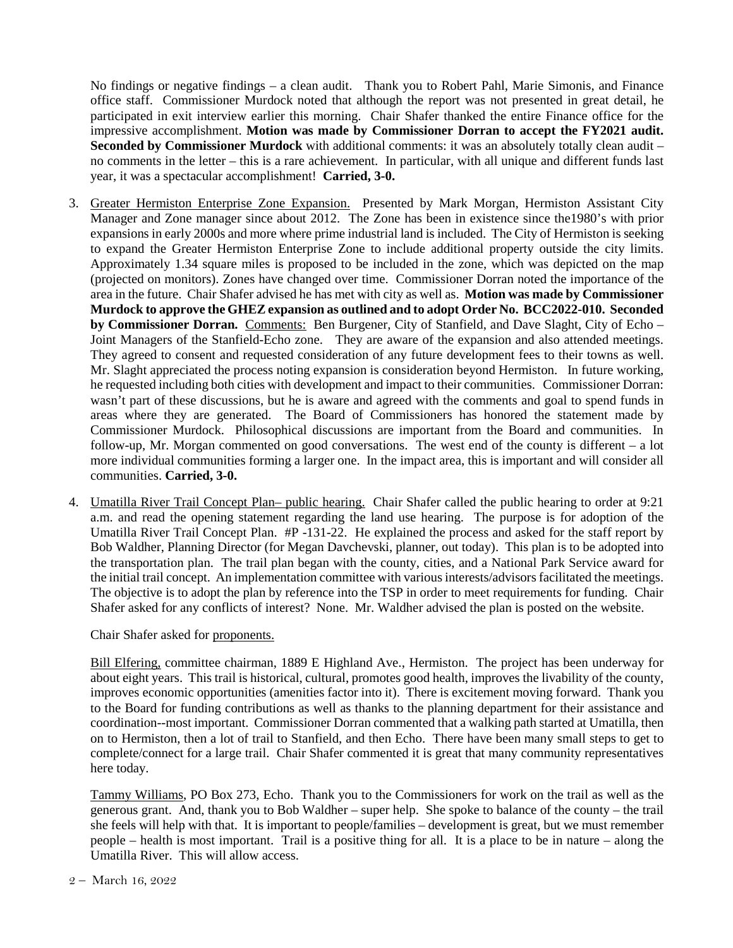No findings or negative findings – a clean audit. Thank you to Robert Pahl, Marie Simonis, and Finance office staff. Commissioner Murdock noted that although the report was not presented in great detail, he participated in exit interview earlier this morning. Chair Shafer thanked the entire Finance office for the impressive accomplishment. **Motion was made by Commissioner Dorran to accept the FY2021 audit. Seconded by Commissioner Murdock** with additional comments: it was an absolutely totally clean audit – no comments in the letter – this is a rare achievement. In particular, with all unique and different funds last year, it was a spectacular accomplishment! **Carried, 3-0.** 

- 3. Greater Hermiston Enterprise Zone Expansion. Presented by Mark Morgan, Hermiston Assistant City Manager and Zone manager since about 2012. The Zone has been in existence since the1980's with prior expansions in early 2000s and more where prime industrial land is included. The City of Hermiston is seeking to expand the Greater Hermiston Enterprise Zone to include additional property outside the city limits. Approximately 1.34 square miles is proposed to be included in the zone, which was depicted on the map (projected on monitors). Zones have changed over time. Commissioner Dorran noted the importance of the area in the future. Chair Shafer advised he has met with city as well as. **Motion was made by Commissioner Murdock to approve the GHEZ expansion as outlined and to adopt Order No. BCC2022-010. Seconded by Commissioner Dorran.** Comments: Ben Burgener, City of Stanfield, and Dave Slaght, City of Echo – Joint Managers of the Stanfield-Echo zone. They are aware of the expansion and also attended meetings. They agreed to consent and requested consideration of any future development fees to their towns as well. Mr. Slaght appreciated the process noting expansion is consideration beyond Hermiston. In future working, he requested including both cities with development and impact to their communities. Commissioner Dorran: wasn't part of these discussions, but he is aware and agreed with the comments and goal to spend funds in areas where they are generated. The Board of Commissioners has honored the statement made by Commissioner Murdock. Philosophical discussions are important from the Board and communities. In follow-up, Mr. Morgan commented on good conversations. The west end of the county is different – a lot more individual communities forming a larger one. In the impact area, this is important and will consider all communities. **Carried, 3-0.**
- 4. Umatilla River Trail Concept Plan– public hearing. Chair Shafer called the public hearing to order at 9:21 a.m. and read the opening statement regarding the land use hearing. The purpose is for adoption of the Umatilla River Trail Concept Plan. #P -131-22. He explained the process and asked for the staff report by Bob Waldher, Planning Director (for Megan Davchevski, planner, out today). This plan is to be adopted into the transportation plan. The trail plan began with the county, cities, and a National Park Service award for the initial trail concept. An implementation committee with various interests/advisors facilitated the meetings. The objective is to adopt the plan by reference into the TSP in order to meet requirements for funding. Chair Shafer asked for any conflicts of interest? None. Mr. Waldher advised the plan is posted on the website.

Chair Shafer asked for proponents.

Bill Elfering, committee chairman, 1889 E Highland Ave., Hermiston. The project has been underway for about eight years. This trail is historical, cultural, promotes good health, improves the livability of the county, improves economic opportunities (amenities factor into it). There is excitement moving forward. Thank you to the Board for funding contributions as well as thanks to the planning department for their assistance and coordination--most important. Commissioner Dorran commented that a walking path started at Umatilla, then on to Hermiston, then a lot of trail to Stanfield, and then Echo. There have been many small steps to get to complete/connect for a large trail. Chair Shafer commented it is great that many community representatives here today.

Tammy Williams, PO Box 273, Echo. Thank you to the Commissioners for work on the trail as well as the generous grant. And, thank you to Bob Waldher – super help. She spoke to balance of the county – the trail she feels will help with that. It is important to people/families – development is great, but we must remember people – health is most important. Trail is a positive thing for all. It is a place to be in nature – along the Umatilla River. This will allow access.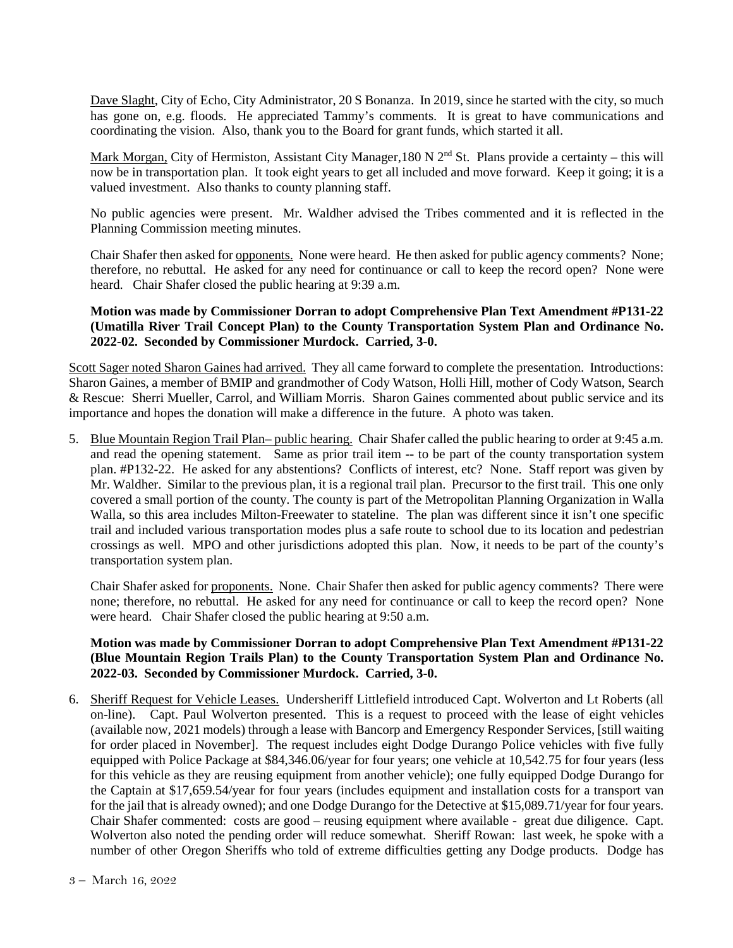Dave Slaght, City of Echo, City Administrator, 20 S Bonanza. In 2019, since he started with the city, so much has gone on, e.g. floods. He appreciated Tammy's comments. It is great to have communications and coordinating the vision. Also, thank you to the Board for grant funds, which started it all.

Mark Morgan, City of Hermiston, Assistant City Manager, 180 N  $2<sup>nd</sup>$  St. Plans provide a certainty – this will now be in transportation plan. It took eight years to get all included and move forward. Keep it going; it is a valued investment. Also thanks to county planning staff.

No public agencies were present. Mr. Waldher advised the Tribes commented and it is reflected in the Planning Commission meeting minutes.

Chair Shafer then asked for opponents. None were heard. He then asked for public agency comments? None; therefore, no rebuttal. He asked for any need for continuance or call to keep the record open? None were heard. Chair Shafer closed the public hearing at 9:39 a.m.

## **Motion was made by Commissioner Dorran to adopt Comprehensive Plan Text Amendment #P131-22 (Umatilla River Trail Concept Plan) to the County Transportation System Plan and Ordinance No. 2022-02. Seconded by Commissioner Murdock. Carried, 3-0.**

Scott Sager noted Sharon Gaines had arrived. They all came forward to complete the presentation. Introductions: Sharon Gaines, a member of BMIP and grandmother of Cody Watson, Holli Hill, mother of Cody Watson, Search & Rescue: Sherri Mueller, Carrol, and William Morris. Sharon Gaines commented about public service and its importance and hopes the donation will make a difference in the future. A photo was taken.

5. Blue Mountain Region Trail Plan– public hearing. Chair Shafer called the public hearing to order at 9:45 a.m. and read the opening statement. Same as prior trail item -- to be part of the county transportation system plan. #P132-22. He asked for any abstentions? Conflicts of interest, etc? None. Staff report was given by Mr. Waldher. Similar to the previous plan, it is a regional trail plan. Precursor to the first trail. This one only covered a small portion of the county. The county is part of the Metropolitan Planning Organization in Walla Walla, so this area includes Milton-Freewater to stateline. The plan was different since it isn't one specific trail and included various transportation modes plus a safe route to school due to its location and pedestrian crossings as well. MPO and other jurisdictions adopted this plan. Now, it needs to be part of the county's transportation system plan.

Chair Shafer asked for proponents. None. Chair Shafer then asked for public agency comments? There were none; therefore, no rebuttal. He asked for any need for continuance or call to keep the record open? None were heard. Chair Shafer closed the public hearing at 9:50 a.m.

## **Motion was made by Commissioner Dorran to adopt Comprehensive Plan Text Amendment #P131-22 (Blue Mountain Region Trails Plan) to the County Transportation System Plan and Ordinance No. 2022-03. Seconded by Commissioner Murdock. Carried, 3-0.**

6. Sheriff Request for Vehicle Leases. Undersheriff Littlefield introduced Capt. Wolverton and Lt Roberts (all on-line). Capt. Paul Wolverton presented. This is a request to proceed with the lease of eight vehicles (available now, 2021 models) through a lease with Bancorp and Emergency Responder Services, [still waiting for order placed in November]. The request includes eight Dodge Durango Police vehicles with five fully equipped with Police Package at \$84,346.06/year for four years; one vehicle at 10,542.75 for four years (less for this vehicle as they are reusing equipment from another vehicle); one fully equipped Dodge Durango for the Captain at \$17,659.54/year for four years (includes equipment and installation costs for a transport van for the jail that is already owned); and one Dodge Durango for the Detective at \$15,089.71/year for four years. Chair Shafer commented: costs are good – reusing equipment where available - great due diligence. Capt. Wolverton also noted the pending order will reduce somewhat. Sheriff Rowan: last week, he spoke with a number of other Oregon Sheriffs who told of extreme difficulties getting any Dodge products. Dodge has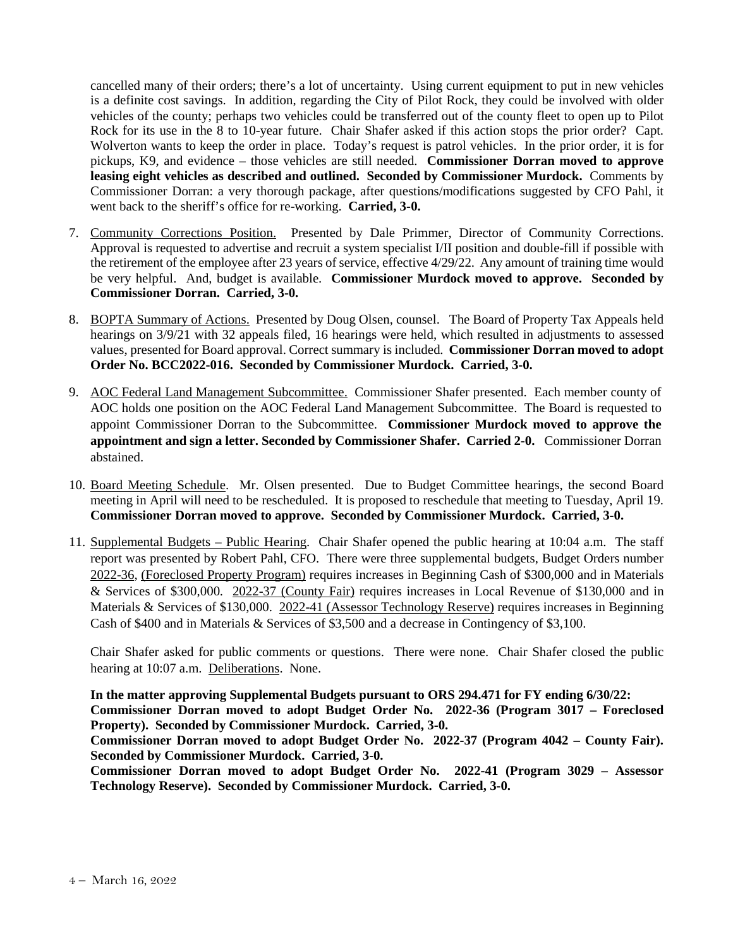cancelled many of their orders; there's a lot of uncertainty. Using current equipment to put in new vehicles is a definite cost savings. In addition, regarding the City of Pilot Rock, they could be involved with older vehicles of the county; perhaps two vehicles could be transferred out of the county fleet to open up to Pilot Rock for its use in the 8 to 10-year future. Chair Shafer asked if this action stops the prior order? Capt. Wolverton wants to keep the order in place. Today's request is patrol vehicles. In the prior order, it is for pickups, K9, and evidence – those vehicles are still needed. **Commissioner Dorran moved to approve leasing eight vehicles as described and outlined. Seconded by Commissioner Murdock.** Comments by Commissioner Dorran: a very thorough package, after questions/modifications suggested by CFO Pahl, it went back to the sheriff's office for re-working. **Carried, 3-0.** 

- 7. Community Corrections Position. Presented by Dale Primmer, Director of Community Corrections. Approval is requested to advertise and recruit a system specialist I/II position and double-fill if possible with the retirement of the employee after 23 years of service, effective 4/29/22. Any amount of training time would be very helpful. And, budget is available. **Commissioner Murdock moved to approve. Seconded by Commissioner Dorran. Carried, 3-0.**
- 8. BOPTA Summary of Actions. Presented by Doug Olsen, counsel. The Board of Property Tax Appeals held hearings on 3/9/21 with 32 appeals filed, 16 hearings were held, which resulted in adjustments to assessed values, presented for Board approval. Correct summary is included. **Commissioner Dorran moved to adopt Order No. BCC2022-016. Seconded by Commissioner Murdock. Carried, 3-0.**
- 9. AOC Federal Land Management Subcommittee. Commissioner Shafer presented. Each member county of AOC holds one position on the AOC Federal Land Management Subcommittee. The Board is requested to appoint Commissioner Dorran to the Subcommittee. **Commissioner Murdock moved to approve the appointment and sign a letter. Seconded by Commissioner Shafer. Carried 2-0.** Commissioner Dorran abstained.
- 10. Board Meeting Schedule. Mr. Olsen presented. Due to Budget Committee hearings, the second Board meeting in April will need to be rescheduled. It is proposed to reschedule that meeting to Tuesday, April 19. **Commissioner Dorran moved to approve. Seconded by Commissioner Murdock. Carried, 3-0.**
- 11. Supplemental Budgets Public Hearing. Chair Shafer opened the public hearing at 10:04 a.m. The staff report was presented by Robert Pahl, CFO. There were three supplemental budgets, Budget Orders number 2022-36, (Foreclosed Property Program) requires increases in Beginning Cash of \$300,000 and in Materials & Services of \$300,000. 2022-37 (County Fair) requires increases in Local Revenue of \$130,000 and in Materials & Services of \$130,000. 2022-41 (Assessor Technology Reserve) requires increases in Beginning Cash of \$400 and in Materials & Services of \$3,500 and a decrease in Contingency of \$3,100.

Chair Shafer asked for public comments or questions. There were none. Chair Shafer closed the public hearing at 10:07 a.m. Deliberations. None.

**In the matter approving Supplemental Budgets pursuant to ORS 294.471 for FY ending 6/30/22: Commissioner Dorran moved to adopt Budget Order No. 2022-36 (Program 3017 – Foreclosed Property). Seconded by Commissioner Murdock. Carried, 3-0.** 

**Commissioner Dorran moved to adopt Budget Order No. 2022-37 (Program 4042 – County Fair). Seconded by Commissioner Murdock. Carried, 3-0.** 

**Commissioner Dorran moved to adopt Budget Order No. 2022-41 (Program 3029 – Assessor Technology Reserve). Seconded by Commissioner Murdock. Carried, 3-0.**